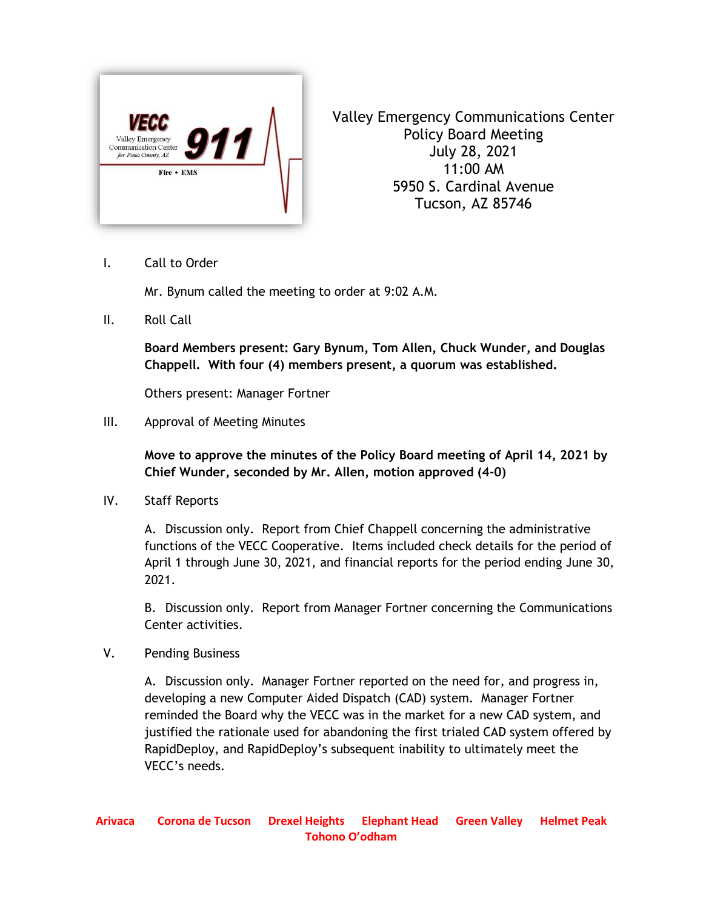

Valley Emergency Communications Center Policy Board Meeting July 28, 2021 11:00 AM 5950 S. Cardinal Avenue Tucson, AZ 85746

I. Call to Order

Mr. Bynum called the meeting to order at 9:02 A.M.

II. Roll Call

**Board Members present: Gary Bynum, Tom Allen, Chuck Wunder, and Douglas Chappell. With four (4) members present, a quorum was established.**

Others present: Manager Fortner

III. Approval of Meeting Minutes

**Move to approve the minutes of the Policy Board meeting of April 14, 2021 by Chief Wunder, seconded by Mr. Allen, motion approved (4-0)**

IV. Staff Reports

A. Discussion only. Report from Chief Chappell concerning the administrative functions of the VECC Cooperative. Items included check details for the period of April 1 through June 30, 2021, and financial reports for the period ending June 30, 2021.

B. Discussion only. Report from Manager Fortner concerning the Communications Center activities.

V. Pending Business

A. Discussion only. Manager Fortner reported on the need for, and progress in, developing a new Computer Aided Dispatch (CAD) system. Manager Fortner reminded the Board why the VECC was in the market for a new CAD system, and justified the rationale used for abandoning the first trialed CAD system offered by RapidDeploy, and RapidDeploy's subsequent inability to ultimately meet the VECC's needs.